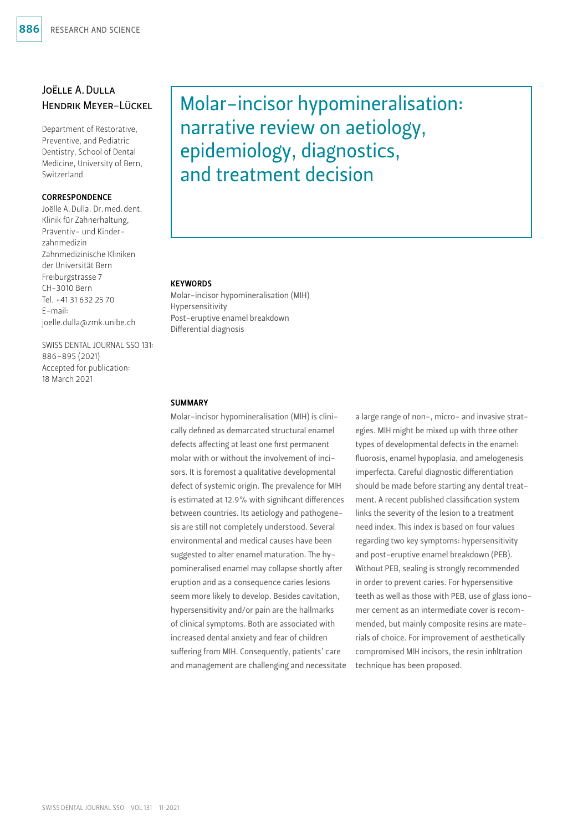# Joëlle A.Dulla Hendrik Meyer-Lückel

Department of Restorative, Preventive, and Pediatric Dentistry, School of Dental Medicine, University of Bern, Switzerland

#### **CORRESPONDENCE**

Joëlle A.Dulla, Dr.med.dent. Klinik für Zahnerhaltung, Präventiv- und Kinderzahnmedizin Zahnmedizinische Kliniken der Universität Bern Freiburgstrasse 7 CH-3010 Bern Tel. +41 31 632 25 70 E-mail: joelle.dulla@zmk.unibe.ch

SWISS DENTAL JOURNAL SSO 131: 886–895 (2021) Accepted for publication: 18 March 2021

# Molar-incisor hypomineralisation: narrative review on aetiology, epidemiology, diagnostics, and treatment decision

#### **KEYWORDS**

Molar-incisor hypomineralisation (MIH) Hypersensitivity Post-eruptive enamel breakdown Differential diagnosis

#### **SUMMARY**

Molar-incisor hypomineralisation (MIH) is clinically defined as demarcated structural enamel defects affecting at least one first permanent molar with or without the involvement of incisors. It is foremost a qualitative developmental defect of systemic origin. The prevalence for MIH is estimated at 12.9% with significant differences between countries. Its aetiology and pathogenesis are still not completely understood. Several environmental and medical causes have been suggested to alter enamel maturation. The hypomineralised enamel may collapse shortly after eruption and as a consequence caries lesions seem more likely to develop. Besides cavitation, hypersensitivity and/or pain are the hallmarks of clinical symptoms. Both are associated with increased dental anxiety and fear of children suffering from MIH. Consequently, patients' care and management are challenging and necessitate a large range of non-, micro- and invasive strategies. MIH might be mixed up with three other types of developmental defects in the enamel: fluorosis, enamel hypoplasia, and amelogenesis imperfecta. Careful diagnostic differentiation should be made before starting any dental treatment. A recent published classification system links the severity of the lesion to a treatment need index. This index is based on four values regarding two key symptoms: hypersensitivity and post-eruptive enamel breakdown (PEB). Without PEB, sealing is strongly recommended in order to prevent caries. For hypersensitive teeth as well as those with PEB, use of glass ionomer cement as an intermediate cover is recommended, but mainly composite resins are materials of choice. For improvement of aesthetically compromised MIH incisors, the resin infiltration technique has been proposed.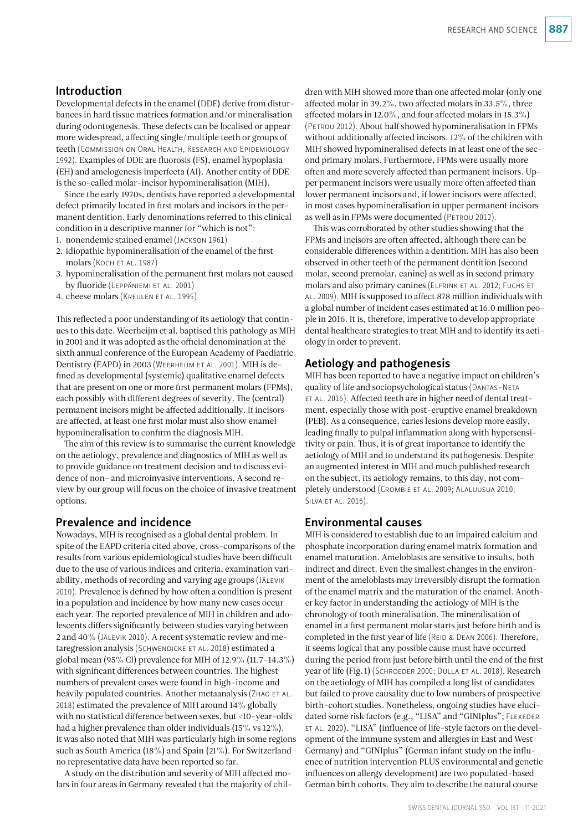### Introduction

Developmental defects in the enamel (DDE) derive from disturbances in hard tissue matrices formation and/or mineralisation during odontogenesis. These defects can be localised or appear more widespread, affecting single/multiple teeth or groups of teeth (Commission on Oral Health, Research and Epidemiology 1992). Examples of DDE are fluorosis (FS), enamel hypoplasia (EH) and amelogenesis imperfecta (AI). Another entity of DDE is the so-called molar-incisor hypomineralisation (MIH).

Since the early 1970s, dentists have reported a developmental defect primarily located in first molars and incisors in the permanent dentition. Early denominations referred to this clinical condition in a descriptive manner for "which is not":

- 1. nonendemic stained enamel (Jackson 1961)
- 2. idiopathic hypomineralisation of the enamel of the first molars (Koch et al. 1987)
- 3. hypomineralisation of the permanent first molars not caused by fluoride (Leppäniemi et al. 2001)
- 4. cheese molars (Kreulen et al. 1995)

This reflected a poor understanding of its aetiology that continues to this date. Weerheijm et al. baptised this pathology as MIH in 2001 and it was adopted as the official denomination at the sixth annual conference of the European Academy of Paediatric Dentistry (EAPD) in 2003 (Weerheijm et al. 2001). MIH is defined as developmental (systemic) qualitative enamel defects that are present on one or more first permanent molars (FPMs), each possibly with different degrees of severity. The (central) permanent incisors might be affected additionally. If incisors are affected, at least one first molar must also show enamel hypomineralisation to confirm the diagnosis MIH.

The aim of this review is to summarise the current knowledge on the aetiology, prevalence and diagnostics of MIH as well as to provide guidance on treatment decision and to discuss evidence of non- and microinvasive interventions. A second review by our group will focus on the choice of invasive treatment options.

#### Prevalence and incidence

Nowadays, MIH is recognised as a global dental problem. In spite of the EAPD criteria cited above, cross-comparisons of the results from various epidemiological studies have been difficult due to the use of various indices and criteria, examination variability, methods of recording and varying age groups (Jälevik 2010). Prevalence is defined by how often a condition is present in a population and incidence by how many new cases occur each year. The reported prevalence of MIH in children and adolescents differs significantly between studies varying between 2 and 40% (Jälevik 2010). A recent systematic review and metaregression analysis (SCHWENDICKE ET AL. 2018) estimated a global mean (95% CI) prevalence for MIH of 12.9% (11.7–14.3%) with significant differences between countries. The highest numbers of prevalent cases were found in high-income and heavily populated countries. Another metaanalysis (ZHAO ET AL. 2018) estimated the prevalence of MIH around 14% globally with no statistical difference between sexes, but <10-year-olds had a higher prevalence than older individuals (15% vs 12%). It was also noted that MIH was particularly high in some regions such as South America (18%) and Spain (21%). For Switzerland no representative data have been reported so far.

A study on the distribution and severity of MIH affected molars in four areas in Germany revealed that the majority of children with MIH showed more than one affected molar (only one affected molar in 39.2%, two affected molars in 33.5%, three affected molars in 12.0%, and four affected molars in 15.3%) (Petrou 2012). About half showed hypomineralisation in FPMs without additionally affected incisors. 12% of the children with MIH showed hypomineralised defects in at least one of the second primary molars. Furthermore, FPMs were usually more often and more severely affected than permanent incisors. Upper permanent incisors were usually more often affected than lower permanent incisors and, if lower incisors were affected, in most cases hypomineralisation in upper permanent incisors as well as in FPMs were documented (Petrou 2012).

This was corroborated by other studies showing that the FPMs and incisors are often affected, although there can be considerable differences within a dentition. MIH has also been observed in other teeth of the permanent dentition (second molar, second premolar, canine) as well as in second primary molars and also primary canines (Elfrink et al. 2012; Fuchs et al. 2009). MIH is supposed to affect 878 million individuals with a global number of incident cases estimated at 16.0 million people in 2016. It is, therefore, imperative to develop appropriate dental healthcare strategies to treat MIH and to identify its aetiology in order to prevent.

### Aetiology and pathogenesis

MIH has been reported to have a negative impact on children's quality of life and sociopsychological status (Dantas-Neta ET AL. 2016). Affected teeth are in higher need of dental treatment, especially those with post-eruptive enamel breakdown (PEB). As a consequence, caries lesions develop more easily, leading finally to pulpal inflammation along with hypersensitivity or pain. Thus, it is of great importance to identify the aetiology of MIH and to understand its pathogenesis. Despite an augmented interest in MIH and much published research on the subject, its aetiology remains, to this day, not completely understood (Crombie et al. 2009; Alaluusua 2010; Silva et al. 2016).

#### Environmental causes

MIH is considered to establish due to an impaired calcium and phosphate incorporation during enamel matrix formation and enamel maturation. Ameloblasts are sensitive to insults, both indirect and direct. Even the smallest changes in the environment of the ameloblasts may irreversibly disrupt the formation of the enamel matrix and the maturation of the enamel. Another key factor in understanding the aetiology of MIH is the chronology of tooth mineralisation. The mineralisation of enamel in a first permanent molar starts just before birth and is completed in the first year of life (REID & DEAN 2006). Therefore, it seems logical that any possible cause must have occurred during the period from just before birth until the end of the first year of life (Fig. 1) (SCHROEDER 2000; DULLA ET AL. 2018). Research on the aetiology of MIH has compiled a long list of candidates but failed to prove causality due to low numbers of prospective birth-cohort studies. Nonetheless, ongoing studies have elucidated some risk factors (e.g., "LISA" and "GINIplus"; FLEXEDER et al. 2020). "LISA" (influence of life-style factors on the development of the immune system and allergies in East and West Germany) and "GINIplus" (German infant study on the influence of nutrition intervention PLUS environmental and genetic influences on allergy development) are two populated-based German birth cohorts. They aim to describe the natural course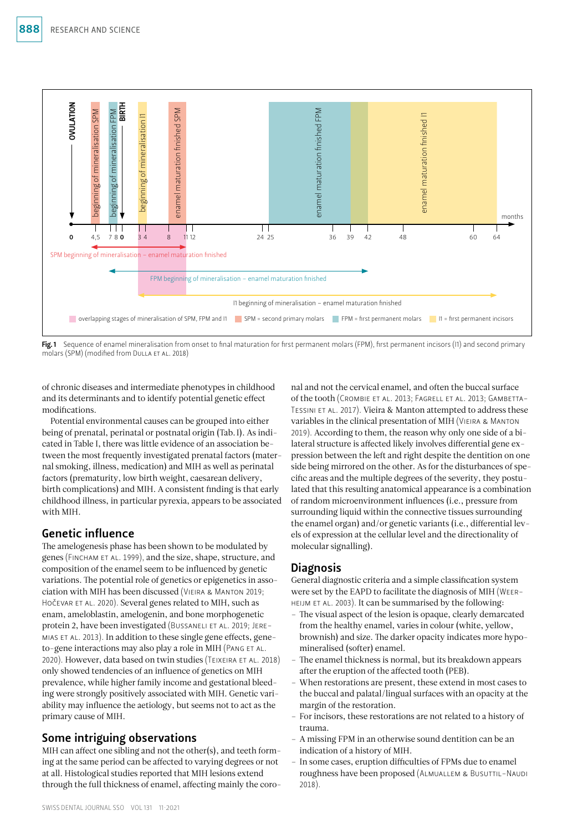

Fig. 1 Sequence of enamel mineralisation from onset to final maturation for first permanent molars (FPM), first permanent incisors (I1) and second primary molars (SPM) (modified from DULLA ET AL. 2018)

of chronic diseases and intermediate phenotypes in childhood and its determinants and to identify potential genetic effect modifications.

Potential environmental causes can be grouped into either being of prenatal, perinatal or postnatal origin (Tab.I). As indicated in Table I, there was little evidence of an association between the most frequently investigated prenatal factors (maternal smoking, illness, medication) and MIH as well as perinatal factors (prematurity, low birth weight, caesarean delivery, birth complications) and MIH. A consistent finding is that early childhood illness, in particular pyrexia, appears to be associated with MIH.

# Genetic influence

The amelogenesis phase has been shown to be modulated by genes (Fincham et al. 1999), and the size, shape, structure, and composition of the enamel seem to be influenced by genetic variations. The potential role of genetics or epigenetics in association with MIH has been discussed (Vieira & Manton 2019; HOČEVAR ET AL. 2020). Several genes related to MIH, such as enam, ameloblastin, amelogenin, and bone morphogenetic protein 2, have been investigated (BUSSANELI ET AL. 2019; JEREmias et al. 2013). In addition to these single gene effects, geneto-gene interactions may also play a role in MIH (PANG ET AL. 2020). However, data based on twin studies (TEIXEIRA ET AL. 2018) only showed tendencies of an influence of genetics on MIH prevalence, while higher family income and gestational bleeding were strongly positively associated with MIH. Genetic variability may influence the aetiology, but seems not to act as the primary cause of MIH.

# Some intriguing observations

MIH can affect one sibling and not the other(s), and teeth forming at the same period can be affected to varying degrees or not at all. Histological studies reported that MIH lesions extend through the full thickness of enamel, affecting mainly the coronal and not the cervical enamel, and often the buccal surface of the tooth (Crombie et al. 2013; Fagrell et al. 2013; Gambetta-TESSINI ET AL. 2017). Vieira & Manton attempted to address these variables in the clinical presentation of MIH (Vieira & Manton 2019). According to them, the reason why only one side of a bilateral structure is affected likely involves differential gene expression between the left and right despite the dentition on one side being mirrored on the other. As for the disturbances of specific areas and the multiple degrees of the severity, they postulated that this resulting anatomical appearance is a combination of random microenvironment influences (i.e., pressure from surrounding liquid within the connective tissues surrounding the enamel organ) and/or genetic variants (i.e., differential levels of expression at the cellular level and the directionality of molecular signalling).

# **Diagnosis**

General diagnostic criteria and a simple classification system were set by the EAPD to facilitate the diagnosis of MIH (Weerheijm et al. 2003). It can be summarised by the following:

- The visual aspect of the lesion is opaque, clearly demarcated from the healthy enamel, varies in colour (white, yellow, brownish) and size. The darker opacity indicates more hypomineralised (softer) enamel.
- The enamel thickness is normal, but its breakdown appears after the eruption of the affected tooth (PEB).
- When restorations are present, these extend in most cases to the buccal and palatal/lingual surfaces with an opacity at the margin of the restoration.
- For incisors, these restorations are not related to a history of trauma.
- A missing FPM in an otherwise sound dentition can be an indication of a history of MIH.
- In some cases, eruption difficulties of FPMs due to enamel roughness have been proposed (Almuallem & Busuttil-Naudi 2018).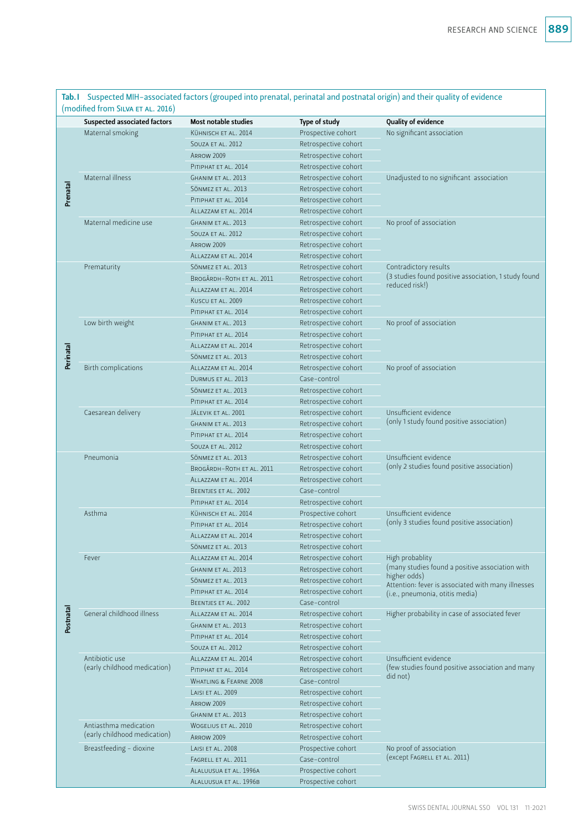Tab.I Suspected MIH-associated factors (grouped into prenatal, perinatal and postnatal origin) and their quality of evidence (modified from SILVA ET AL. 2016)

|           | (THOUTHER TION) SILVA ET AL. 2010)             |                             |                      |                                                                                       |  |  |  |  |
|-----------|------------------------------------------------|-----------------------------|----------------------|---------------------------------------------------------------------------------------|--|--|--|--|
|           | Suspected associated factors                   | <b>Most notable studies</b> | Type of study        | Quality of evidence                                                                   |  |  |  |  |
|           | Maternal smoking                               | KÜHNISCH ET AL. 2014        | Prospective cohort   | No significant association                                                            |  |  |  |  |
|           |                                                | SOUZA ET AL. 2012           | Retrospective cohort |                                                                                       |  |  |  |  |
| Prenatal  |                                                | <b>ARROW 2009</b>           | Retrospective cohort |                                                                                       |  |  |  |  |
|           |                                                | PITIPHAT ET AL. 2014        | Retrospective cohort |                                                                                       |  |  |  |  |
|           | Maternal illness                               | GHANIM ET AL. 2013          | Retrospective cohort | Unadjusted to no significant association                                              |  |  |  |  |
|           |                                                | SÖNMEZ ET AL. 2013          | Retrospective cohort |                                                                                       |  |  |  |  |
|           |                                                | PITIPHAT ET AL. 2014        | Retrospective cohort |                                                                                       |  |  |  |  |
|           |                                                | ALLAZZAM ET AL. 2014        | Retrospective cohort |                                                                                       |  |  |  |  |
|           | Maternal medicine use                          | GHANIM ET AL. 2013          | Retrospective cohort | No proof of association                                                               |  |  |  |  |
|           |                                                | SOUZA ET AL. 2012           | Retrospective cohort |                                                                                       |  |  |  |  |
|           |                                                | <b>ARROW 2009</b>           | Retrospective cohort |                                                                                       |  |  |  |  |
|           |                                                | ALLAZZAM ET AL. 2014        | Retrospective cohort |                                                                                       |  |  |  |  |
|           | Prematurity                                    | SÖNMEZ ET AL. 2013          | Retrospective cohort | Contradictory results                                                                 |  |  |  |  |
|           |                                                | BROGÅRDH-ROTH ET AL. 2011   | Retrospective cohort | (3 studies found positive association, 1 study found                                  |  |  |  |  |
|           |                                                | ALLAZZAM ET AL. 2014        | Retrospective cohort | reduced risk!)                                                                        |  |  |  |  |
|           |                                                | KUSCU ET AL. 2009           | Retrospective cohort |                                                                                       |  |  |  |  |
|           |                                                | PITIPHAT ET AL. 2014        | Retrospective cohort |                                                                                       |  |  |  |  |
|           | Low birth weight                               | GHANIM ET AL. 2013          | Retrospective cohort | No proof of association                                                               |  |  |  |  |
|           |                                                | PITIPHAT ET AL. 2014        | Retrospective cohort |                                                                                       |  |  |  |  |
| Perinatal |                                                | ALLAZZAM ET AL. 2014        | Retrospective cohort |                                                                                       |  |  |  |  |
|           |                                                | SÖNMEZ ET AL. 2013          | Retrospective cohort |                                                                                       |  |  |  |  |
|           | Birth complications                            | ALLAZZAM ET AL. 2014        | Retrospective cohort | No proof of association                                                               |  |  |  |  |
|           |                                                | DURMUS ET AL. 2013          | Case-control         |                                                                                       |  |  |  |  |
|           |                                                | SÖNMEZ ET AL. 2013          | Retrospective cohort |                                                                                       |  |  |  |  |
|           |                                                | PITIPHAT ET AL. 2014        | Retrospective cohort |                                                                                       |  |  |  |  |
|           | Caesarean delivery                             | JÄLEVIK ET AL. 2001         | Retrospective cohort | Unsufficient evidence                                                                 |  |  |  |  |
|           |                                                | GHANIM ET AL. 2013          | Retrospective cohort | (only 1 study found positive association)                                             |  |  |  |  |
|           |                                                | PITIPHAT ET AL. 2014        | Retrospective cohort |                                                                                       |  |  |  |  |
|           |                                                | SOUZA ET AL. 2012           | Retrospective cohort |                                                                                       |  |  |  |  |
|           | Pneumonia                                      | SÖNMEZ ET AL. 2013          | Retrospective cohort | Unsufficient evidence                                                                 |  |  |  |  |
|           |                                                | BROGÅRDH-ROTH ET AL. 2011   | Retrospective cohort | (only 2 studies found positive association)                                           |  |  |  |  |
|           |                                                | ALLAZZAM ET AL. 2014        | Retrospective cohort |                                                                                       |  |  |  |  |
|           |                                                | BEENTJES ET AL. 2002        | Case-control         |                                                                                       |  |  |  |  |
|           |                                                | PITIPHAT ET AL. 2014        | Retrospective cohort |                                                                                       |  |  |  |  |
|           | Asthma                                         | KÜHNISCH ET AL. 2014        | Prospective cohort   | Unsufficient evidence                                                                 |  |  |  |  |
|           |                                                | PITIPHAT ET AL. 2014        | Retrospective cohort | (only 3 studies found positive association)                                           |  |  |  |  |
|           |                                                | ALLAZZAM ET AL. 2014        | Retrospective cohort |                                                                                       |  |  |  |  |
|           |                                                | SÖNMEZ ET AL. 2013          | Retrospective cohort |                                                                                       |  |  |  |  |
|           | Fever                                          | ALLAZZAM ET AL. 2014        | Retrospective cohort | High probablity                                                                       |  |  |  |  |
|           |                                                | <b>GHANIM ET AL. 2013</b>   | Retrospective cohort | (many studies found a positive association with                                       |  |  |  |  |
|           |                                                | SÖNMEZ ET AL. 2013          | Retrospective cohort | higher odds)<br>Attention: fever is associated with many illnesses                    |  |  |  |  |
|           |                                                | PITIPHAT ET AL. 2014        | Retrospective cohort | (i.e., pneumonia, otitis media)                                                       |  |  |  |  |
|           |                                                | BEENTJES ET AL. 2002        | Case-control         |                                                                                       |  |  |  |  |
| Postnatal | General childhood illness                      | ALLAZZAM ET AL. 2014        | Retrospective cohort | Higher probability in case of associated fever                                        |  |  |  |  |
|           |                                                | GHANIM ET AL. 2013          | Retrospective cohort |                                                                                       |  |  |  |  |
|           |                                                | PITIPHAT ET AL. 2014        | Retrospective cohort |                                                                                       |  |  |  |  |
|           |                                                | SOUZA ET AL. 2012           | Retrospective cohort |                                                                                       |  |  |  |  |
|           | Antibiotic use<br>(early childhood medication) | ALLAZZAM ET AL. 2014        | Retrospective cohort | Unsufficient evidence<br>(few studies found positive association and many<br>did not) |  |  |  |  |
|           |                                                | PITIPHAT ET AL. 2014        | Retrospective cohort |                                                                                       |  |  |  |  |
|           |                                                | WHATLING & FEARNE 2008      | Case-control         |                                                                                       |  |  |  |  |
|           |                                                | LAISI ET AL. 2009           | Retrospective cohort |                                                                                       |  |  |  |  |
|           |                                                | <b>ARROW 2009</b>           | Retrospective cohort |                                                                                       |  |  |  |  |
|           |                                                | GHANIM ET AL. 2013          | Retrospective cohort |                                                                                       |  |  |  |  |
|           | Antiasthma medication                          | WOGELIUS ET AL. 2010        | Retrospective cohort |                                                                                       |  |  |  |  |
|           | (early childhood medication)                   | <b>ARROW 2009</b>           | Retrospective cohort |                                                                                       |  |  |  |  |
|           | Breastfeeding - dioxine                        | LAISI ET AL. 2008           | Prospective cohort   | No proof of association                                                               |  |  |  |  |
|           |                                                | FAGRELL ET AL. 2011         | Case-control         | (except FAGRELL ET AL. 2011)                                                          |  |  |  |  |
|           |                                                | ALALUUSUA ET AL. 1996A      | Prospective cohort   |                                                                                       |  |  |  |  |
|           |                                                | ALALUUSUA ET AL. 1996B      | Prospective cohort   |                                                                                       |  |  |  |  |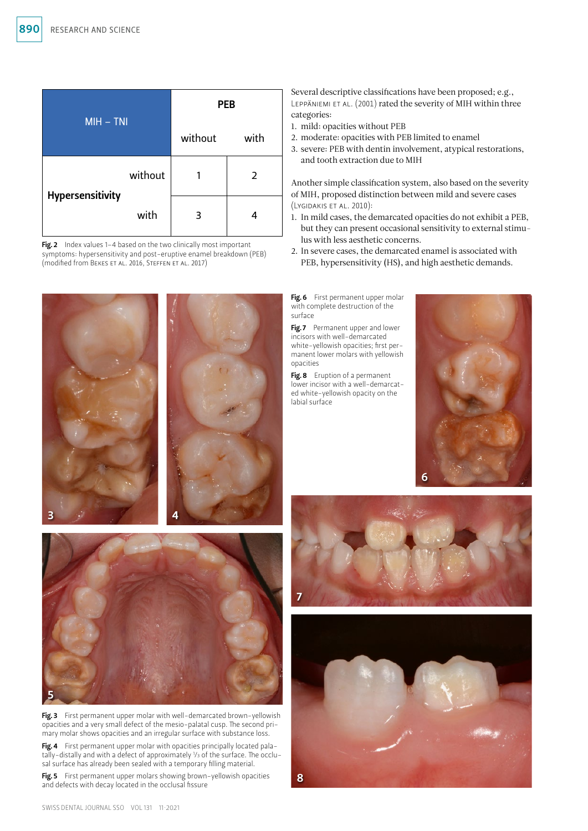|                  |         | <b>PEB</b> |      |  |
|------------------|---------|------------|------|--|
| $MH - TNI$       |         | without    | with |  |
| Hypersensitivity | without |            | 2    |  |
|                  | with    | 3          |      |  |

Fig. 2 Index values 1-4 based on the two clinically most important symptoms: hypersensitivity and post-eruptive enamel breakdown (PEB) (modified from Bekes et al. 2016, Steffen et al. 2017)





Fig. 3 First permanent upper molar with well-demarcated brown-yellowish opacities and a very small defect of the mesio-palatal cusp. The second primary molar shows opacities and an irregular surface with substance loss.

Fig. 4 First permanent upper molar with opacities principally located palatally-distally and with a defect of approximately 1 /3 of the surface. The occlusal surface has already been sealed with a temporary filling material.

Fig. 5 First permanent upper molars showing brown-yellowish opacities and defects with decay located in the occlusal fissure

Several descriptive classifications have been proposed; e.g., Leppäniemi et al. (2001) rated the severity of MIH within three categories:

- 1. mild: opacities without PEB
- 2. moderate: opacities with PEB limited to enamel
- 3. severe: PEB with dentin involvement, atypical restorations, and tooth extraction due to MIH

Another simple classification system, also based on the severity of MIH, proposed distinction between mild and severe cases (Lygidakis et al. 2010):

- 1. In mild cases, the demarcated opacities do not exhibit a PEB, but they can present occasional sensitivity to external stimulus with less aesthetic concerns.
- 2. In severe cases, the demarcated enamel is associated with PEB, hypersensitivity (HS), and high aesthetic demands.

Fig. 6 First permanent upper molar with complete destruction of the surface

Fig. 7 Permanent upper and lower incisors with well-demarcated white-yellowish opacities; first permanent lower molars with yellowish opacities

Fig. 8 Eruption of a permanent lower incisor with a well-demarcated white-yellowish opacity on the labial surface





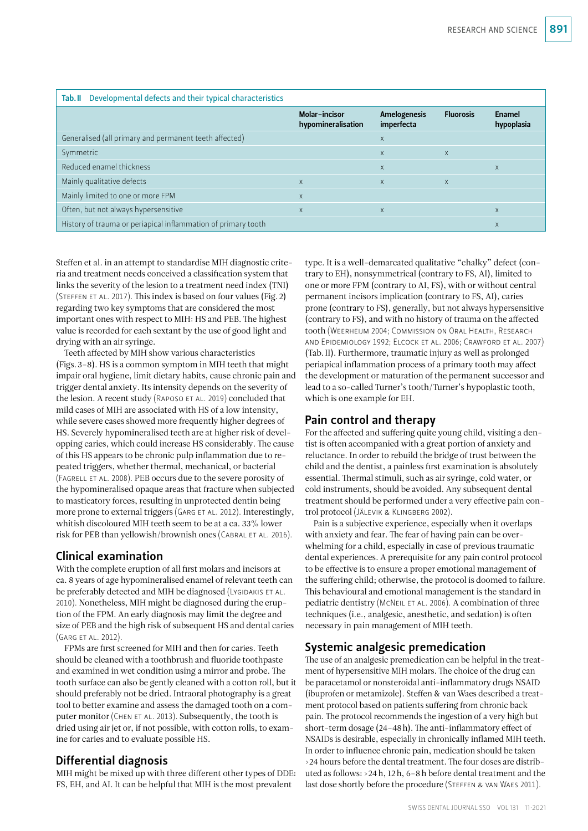| Tab. II Developmental defects and their typical characteristics |                                            |                            |                  |                      |  |  |  |
|-----------------------------------------------------------------|--------------------------------------------|----------------------------|------------------|----------------------|--|--|--|
|                                                                 | <b>Molar-incisor</b><br>hypomineralisation | Amelogenesis<br>imperfecta | <b>Fluorosis</b> | Enamel<br>hypoplasia |  |  |  |
| Generalised (all primary and permanent teeth affected)          |                                            | $\times$                   |                  |                      |  |  |  |
| Symmetric                                                       |                                            | $\mathsf{x}$               | $\times$         |                      |  |  |  |
| Reduced enamel thickness                                        |                                            | $\mathsf{X}$               |                  | $\times$             |  |  |  |
| Mainly qualitative defects                                      | X                                          | $\times$                   | $\times$         |                      |  |  |  |
| Mainly limited to one or more FPM                               | X                                          |                            |                  |                      |  |  |  |
| Often, but not always hypersensitive                            | $\times$                                   | $\mathsf{X}$               |                  | $\times$             |  |  |  |
| History of trauma or periapical inflammation of primary tooth   |                                            |                            |                  | X                    |  |  |  |

Steffen et al. in an attempt to standardise MIH diagnostic criteria and treatment needs conceived a classification system that links the severity of the lesion to a treatment need index (TNI) (Steffen et al. 2017). This index is based on four values (Fig.2) regarding two key symptoms that are considered the most important ones with respect to MIH: HS and PEB. The highest value is recorded for each sextant by the use of good light and drying with an air syringe.

Teeth affected by MIH show various characteristics (Figs.3–8). HS is a common symptom in MIH teeth that might impair oral hygiene, limit dietary habits, cause chronic pain and trigger dental anxiety. Its intensity depends on the severity of the lesion. A recent study (RAPOSO ET AL. 2019) concluded that mild cases of MIH are associated with HS of a low intensity, while severe cases showed more frequently higher degrees of HS. Severely hypomineralised teeth are at higher risk of developping caries, which could increase HS considerably. The cause of this HS appears to be chronic pulp inflammation due to repeated triggers, whether thermal, mechanical, or bacterial (Fagrell et al. 2008). PEB occurs due to the severe porosity of the hypomineralised opaque areas that fracture when subjected to masticatory forces, resulting in unprotected dentin being more prone to external triggers (Garg et al. 2012). Interestingly, whitish discoloured MIH teeth seem to be at a ca. 33% lower risk for PEB than yellowish/brownish ones (CABRAL ET AL. 2016).

# Clinical examination

With the complete eruption of all first molars and incisors at ca. 8 years of age hypomineralised enamel of relevant teeth can be preferably detected and MIH be diagnosed (LYGIDAKIS ET AL. 2010). Nonetheless, MIH might be diagnosed during the eruption of the FPM. An early diagnosis may limit the degree and size of PEB and the high risk of subsequent HS and dental caries (Garg et al. 2012).

FPMs are first screened for MIH and then for caries. Teeth should be cleaned with a toothbrush and fluoride toothpaste and examined in wet condition using a mirror and probe. The tooth surface can also be gently cleaned with a cotton roll, but it should preferably not be dried. Intraoral photography is a great tool to better examine and assess the damaged tooth on a computer monitor (CHEN ET AL. 2013). Subsequently, the tooth is dried using air jet or, if not possible, with cotton rolls, to examine for caries and to evaluate possible HS.

## Differential diagnosis

MIH might be mixed up with three different other types of DDE: FS, EH, and AI. It can be helpful that MIH is the most prevalent

type. It is a well-demarcated qualitative "chalky" defect (contrary to EH), nonsymmetrical (contrary to FS, AI), limited to one or more FPM (contrary to AI, FS), with or without central permanent incisors implication (contrary to FS, AI), caries prone (contrary to FS), generally, but not always hypersensitive (contrary to FS), and with no history of trauma on the affected tooth (Weerheijm 2004; Commission on Oral Health, Research and Epidemiology 1992; Elcock et al. 2006; Crawford et al. 2007) (Tab.II). Furthermore, traumatic injury as well as prolonged periapical inflammation process of a primary tooth may affect the development or maturation of the permanent successor and lead to a so-called Turner's tooth/Turner's hypoplastic tooth, which is one example for EH.

# Pain control and therapy

For the affected and suffering quite young child, visiting a dentist is often accompanied with a great portion of anxiety and reluctance. In order to rebuild the bridge of trust between the child and the dentist, a painless first examination is absolutely essential. Thermal stimuli, such as air syringe, cold water, or cold instruments, should be avoided. Any subsequent dental treatment should be performed under a very effective pain control protocol (Jälevik & Klingberg 2002).

Pain is a subjective experience, especially when it overlaps with anxiety and fear. The fear of having pain can be overwhelming for a child, especially in case of previous traumatic dental experiences. A prerequisite for any pain control protocol to be effective is to ensure a proper emotional management of the suffering child; otherwise, the protocol is doomed to failure. This behavioural and emotional management is the standard in pediatric dentistry (McNeil et al. 2006). A combination of three techniques (i.e., analgesic, anesthetic, and sedation) is often necessary in pain management of MIH teeth.

# Systemic analgesic premedication

The use of an analgesic premedication can be helpful in the treatment of hypersensitive MIH molars. The choice of the drug can be paracetamol or nonsteroidal anti-inflammatory drugs NSAID (ibuprofen or metamizole). Steffen & van Waes described a treatment protocol based on patients suffering from chronic back pain. The protocol recommends the ingestion of a very high but short-term dosage (24–48h). The anti-inflammatory effect of NSAIDs is desirable, especially in chronically inflamed MIH teeth. In order to influence chronic pain, medication should be taken >24 hours before the dental treatment. The four doses are distributed as follows: >24h, 12h, 6–8h before dental treatment and the last dose shortly before the procedure (Steffen & van Waes 2011).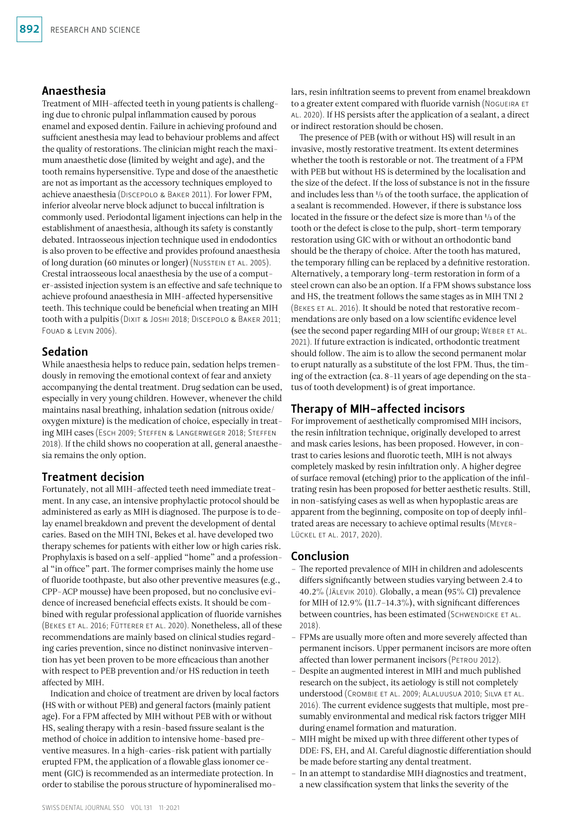#### Anaesthesia

Treatment of MIH-affected teeth in young patients is challenging due to chronic pulpal inflammation caused by porous enamel and exposed dentin. Failure in achieving profound and sufficient anesthesia may lead to behaviour problems and affect the quality of restorations. The clinician might reach the maximum anaesthetic dose (limited by weight and age), and the tooth remains hypersensitive. Type and dose of the anaesthetic are not as important as the accessory techniques employed to achieve anaesthesia (Discepolo & Baker 2011). For lower FPM, inferior alveolar nerve block adjunct to buccal infiltration is commonly used. Periodontal ligament injections can help in the establishment of anaesthesia, although its safety is constantly debated. Intraosseous injection technique used in endodontics is also proven to be effective and provides profound anaesthesia of long duration (60 minutes or longer) (Nusstein et al. 2005). Crestal intraosseous local anaesthesia by the use of a computer-assisted injection system is an effective and safe technique to achieve profound anaesthesia in MIH-affected hypersensitive teeth. This technique could be beneficial when treating an MIH tooth with a pulpitis (Dixit & Joshi 2018; Discepolo & Baker 2011; FOUAD & LEVIN 2006).

### Sedation

While anaesthesia helps to reduce pain, sedation helps tremendously in removing the emotional context of fear and anxiety accompanying the dental treatment. Drug sedation can be used, especially in very young children. However, whenever the child maintains nasal breathing, inhalation sedation (nitrous oxide/ oxygen mixture) is the medication of choice, especially in treating MIH cases (Esch 2009; Steffen & Langerweger 2018; Steffen 2018). If the child shows no cooperation at all, general anaesthesia remains the only option.

## Treatment decision

Fortunately, not all MIH-affected teeth need immediate treatment. In any case, an intensive prophylactic protocol should be administered as early as MIH is diagnosed. The purpose is to delay enamel breakdown and prevent the development of dental caries. Based on the MIH TNI, Bekes et al. have developed two therapy schemes for patients with either low or high caries risk. Prophylaxis is based on a self-applied "home" and a professional "in office" part. The former comprises mainly the home use of fluoride toothpaste, but also other preventive measures (e.g., CPP-ACP mousse) have been proposed, but no conclusive evidence of increased beneficial effects exists. It should be combined with regular professional application of fluoride varnishes (Bekes et al. 2016; Fütterer et al. 2020). Nonetheless, all of these recommendations are mainly based on clinical studies regarding caries prevention, since no distinct noninvasive intervention has yet been proven to be more efficacious than another with respect to PEB prevention and/or HS reduction in teeth affected by MIH.

Indication and choice of treatment are driven by local factors (HS with or without PEB) and general factors (mainly patient age). For a FPM affected by MIH without PEB with or without HS, sealing therapy with a resin-based fissure sealant is the method of choice in addition to intensive home-based preventive measures. In a high-caries-risk patient with partially erupted FPM, the application of a flowable glass ionomer cement (GIC) is recommended as an intermediate protection. In order to stabilise the porous structure of hypomineralised molars, resin infiltration seems to prevent from enamel breakdown to a greater extent compared with fluoride varnish (NOGUEIRA ET al. 2020). If HS persists after the application of a sealant, a direct or indirect restoration should be chosen.

The presence of PEB (with or without HS) will result in an invasive, mostly restorative treatment. Its extent determines whether the tooth is restorable or not. The treatment of a FPM with PEB but without HS is determined by the localisation and the size of the defect. If the loss of substance is not in the fissure and includes less than 1/3 of the tooth surface, the application of a sealant is recommended. However, if there is substance loss located in the fissure or the defect size is more than 1/3 of the tooth or the defect is close to the pulp, short-term temporary restoration using GIC with or without an orthodontic band should be the therapy of choice. After the tooth has matured, the temporary filling can be replaced by a definitive restoration. Alternatively, a temporary long-term restoration in form of a steel crown can also be an option. If a FPM shows substance loss and HS, the treatment follows the same stages as in MIH TNI 2 (Bekes et al. 2016). It should be noted that restorative recommendations are only based on a low scientific evidence level (see the second paper regarding MIH of our group; Weber et al. 2021). If future extraction is indicated, orthodontic treatment should follow. The aim is to allow the second permanent molar to erupt naturally as a substitute of the lost FPM. Thus, the timing of the extraction (ca. 8-11 years of age depending on the status of tooth development) is of great importance.

## Therapy of MIH-affected incisors

For improvement of aesthetically compromised MIH incisors, the resin infiltration technique, originally developed to arrest and mask caries lesions, has been proposed. However, in contrast to caries lesions and fluorotic teeth, MIH is not always completely masked by resin infiltration only. A higher degree of surface removal (etching) prior to the application of the infiltrating resin has been proposed for better aesthetic results. Still, in non-satisfying cases as well as when hypoplastic areas are apparent from the beginning, composite on top of deeply infiltrated areas are necessary to achieve optimal results (Meyer-Lückel et al. 2017, 2020).

#### Conclusion

- The reported prevalence of MIH in children and adolescents differs significantly between studies varying between 2.4 to 40.2% (Jälevik 2010). Globally, a mean (95% CI) prevalence for MIH of 12.9%  $(11.7-14.3\%)$ , with significant differences between countries, has been estimated (SCHWENDICKE ET AL. 2018).
- FPMs are usually more often and more severely affected than permanent incisors. Upper permanent incisors are more often affected than lower permanent incisors (PETROU 2012).
- Despite an augmented interest in MIH and much published research on the subject, its aetiology is still not completely understood (Crombie et al. 2009; Alaluusua 2010; Silva et al. 2016). The current evidence suggests that multiple, most presumably environmental and medical risk factors trigger MIH during enamel formation and maturation.
- MIH might be mixed up with three different other types of DDE: FS, EH, and AI. Careful diagnostic differentiation should be made before starting any dental treatment.
- In an attempt to standardise MIH diagnostics and treatment, a new classification system that links the severity of the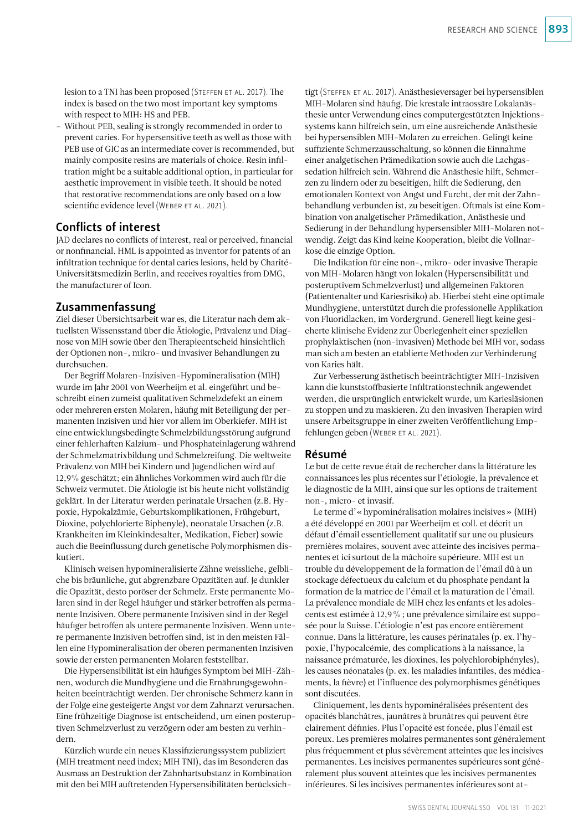lesion to a TNI has been proposed (STEFFEN ET AL. 2017). The index is based on the two most important key symptoms with respect to MIH: HS and PEB.

– Without PEB, sealing is strongly recommended in order to prevent caries. For hypersensitive teeth as well as those with PEB use of GIC as an intermediate cover is recommended, but mainly composite resins are materials of choice. Resin infiltration might be a suitable additional option, in particular for aesthetic improvement in visible teeth. It should be noted that restorative recommendations are only based on a low scientific evidence level (WEBER ET AL. 2021).

### Conflicts of interest

JAD declares no conflicts of interest, real or perceived, financial or nonfinancial. HML is appointed as inventor for patents of an infiltration technique for dental caries lesions, held by Charité-Universitätsmedizin Berlin, and receives royalties from DMG, the manufacturer of Icon.

#### Zusammenfassung

Ziel dieser Übersichtsarbeit war es, die Literatur nach dem aktuellsten Wissensstand über die Ätiologie, Prävalenz und Diagnose von MIH sowie über den Therapieentscheid hinsichtlich der Optionen non-, mikro- und invasiver Behandlungen zu durchsuchen.

Der Begriff Molaren-Inzisiven-Hypomineralisation (MIH) wurde im Jahr 2001 von Weerheijm et al. eingeführt und beschreibt einen zumeist qualitativen Schmelzdefekt an einem oder mehreren ersten Molaren, häufig mit Beteiligung der permanenten Inzisiven und hier vor allem im Oberkiefer. MIH ist eine entwicklungsbedingte Schmelzbildungsstörung aufgrund einer fehlerhaften Kalzium- und Phosphateinlagerung während der Schmelzmatrixbildung und Schmelzreifung. Die weltweite Prävalenz von MIH bei Kindern und Jugendlichen wird auf 12,9% geschätzt; ein ähnliches Vorkommen wird auch für die Schweiz vermutet. Die Ätiologie ist bis heute nicht vollständig geklärt. In der Literatur werden perinatale Ursachen (z.B. Hypoxie, Hypokalzämie, Geburtskomplikationen, Frühgeburt, Dioxine, polychlorierte Biphenyle), neonatale Ursachen (z.B. Krankheiten im Kleinkindesalter, Medikation, Fieber) sowie auch die Beeinflussung durch genetische Polymorphismen diskutiert.

Klinisch weisen hypomineralisierte Zähne weissliche, gelbliche bis bräunliche, gut abgrenzbare Opazitäten auf. Je dunkler die Opazität, desto poröser der Schmelz. Erste permanente Molaren sind in der Regel häufiger und stärker betroffen als permanente Inzisiven. Obere permanente Inzisiven sind in der Regel häufiger betroffen als untere permanente Inzisiven. Wenn untere permanente Inzisiven betroffen sind, ist in den meisten Fällen eine Hypomineralisation der oberen permanenten Inzisiven sowie der ersten permanenten Molaren feststellbar.

Die Hypersensibilität ist ein häufiges Symptom bei MIH-Zähnen, wodurch die Mundhygiene und die Ernährungsgewohnheiten beeinträchtigt werden. Der chronische Schmerz kann in der Folge eine gesteigerte Angst vor dem Zahnarzt verursachen. Eine frühzeitige Diagnose ist entscheidend, um einen posteruptiven Schmelzverlust zu verzögern oder am besten zu verhindern.

Kürzlich wurde ein neues Klassifizierungssystem publiziert (MIH treatment need index; MIH TNI), das im Besonderen das Ausmass an Destruktion der Zahnhartsubstanz in Kombination mit den bei MIH auftretenden Hypersensibilitäten berücksich-

tigt (Steffen et al. 2017). Anästhesieversager bei hypersensiblen MIH-Molaren sind häufig. Die krestale intraossäre Lokalanästhesie unter Verwendung eines computergestützten Injektionssystems kann hilfreich sein, um eine ausreichende Anästhesie bei hypersensiblen MIH-Molaren zu erreichen. Gelingt keine suffiziente Schmerzausschaltung, so können die Einnahme einer analgetischen Prämedikation sowie auch die Lachgassedation hilfreich sein. Während die Anästhesie hilft, Schmerzen zu lindern oder zu beseitigen, hilft die Sedierung, den emotionalen Kontext von Angst und Furcht, der mit der Zahnbehandlung verbunden ist, zu beseitigen. Oftmals ist eine Kombination von analgetischer Prämedikation, Anästhesie und Sedierung in der Behandlung hypersensibler MIH-Molaren notwendig. Zeigt das Kind keine Kooperation, bleibt die Vollnarkose die einzige Option.

Die Indikation für eine non-, mikro- oder invasive Therapie von MIH-Molaren hängt von lokalen (Hypersensibilität und posteruptivem Schmelzverlust) und allgemeinen Faktoren (Patientenalter und Kariesrisiko) ab. Hierbei steht eine optimale Mundhygiene, unterstützt durch die professionelle Applikation von Fluoridlacken, im Vordergrund. Generell liegt keine gesicherte klinische Evidenz zur Überlegenheit einer speziellen prophylaktischen (non-invasiven) Methode bei MIH vor, sodass man sich am besten an etablierte Methoden zur Verhinderung von Karies hält.

Zur Verbesserung ästhetisch beeinträchtigter MIH-Inzisiven kann die kunststoffbasierte Infiltrationstechnik angewendet werden, die ursprünglich entwickelt wurde, um Kariesläsionen zu stoppen und zu maskieren. Zu den invasiven Therapien wird unsere Arbeitsgruppe in einer zweiten Veröffentlichung Empfehlungen geben (Weber et al. 2021).

#### Résumé

Le but de cette revue était de rechercher dans la littérature les connaissances les plus récentes sur l'étiologie, la prévalence et le diagnostic de la MIH, ainsi que sur les options de traitement non-, micro- et invasif.

Le terme d'«hypominéralisation molaires incisives» (MIH) a été développé en 2001 par Weerheijm et coll. et décrit un défaut d'émail essentiellement qualitatif sur une ou plusieurs premières molaires, souvent avec atteinte des incisives permanentes et ici surtout de la mâchoire supérieure. MIH est un trouble du développement de la formation de l'émail dû à un stockage défectueux du calcium et du phosphate pendant la formation de la matrice de l'émail et la maturation de l'émail. La prévalence mondiale de MIH chez les enfants et les adolescents est estimée à 12,9%; une prévalence similaire est supposée pour la Suisse. L'étiologie n'est pas encore entièrement connue. Dans la littérature, les causes périnatales (p. ex. l'hypoxie, l'hypocalcémie, des complications à la naissance, la naissance prématurée, les dioxines, les polychlorobiphényles), les causes néonatales (p. ex. les maladies infantiles, des médicaments, la fièvre) et l'influence des polymorphismes génétiques sont discutées.

Cliniquement, les dents hypominéralisées présentent des opacités blanchâtres, jaunâtres à brunâtres qui peuvent être clairement définies. Plus l'opacité est foncée, plus l'émail est poreux. Les premières molaires permanentes sont généralement plus fréquemment et plus sévèrement atteintes que les incisives permanentes. Les incisives permanentes supérieures sont généralement plus souvent atteintes que les incisives permanentes inférieures. Si les incisives permanentes inférieures sont at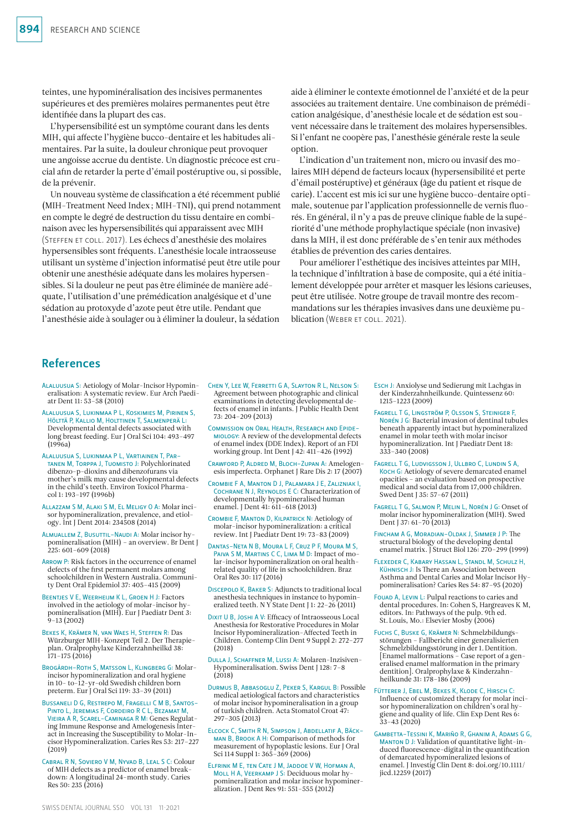teintes, une hypominéralisation des incisives permanentes supérieures et des premières molaires permanentes peut être identifiée dans la plupart des cas.

L'hypersensibilité est un symptôme courant dans les dents MIH, qui affecte l'hygiène bucco-dentaire et les habitudes alimentaires. Par la suite, la douleur chronique peut provoquer une angoisse accrue du dentiste. Un diagnostic précoce est crucial afin de retarder la perte d'émail postéruptive ou, si possible, de la prévenir.

Un nouveau système de classification a été récemment publié (MIH-Treatment Need Index; MIH-TNI), qui prend notamment en compte le degré de destruction du tissu dentaire en combinaison avec les hypersensibilités qui apparaissent avec MIH (Steffen et coll. 2017). Les échecs d'anesthésie des molaires hypersensibles sont fréquents. L'anesthésie locale intraosseuse utilisant un système d'injection informatisé peut être utile pour obtenir une anesthésie adéquate dans les molaires hypersensibles. Si la douleur ne peut pas être éliminée de manière adéquate, l'utilisation d'une prémédication analgésique et d'une sédation au protoxyde d'azote peut être utile. Pendant que l'anesthésie aide à soulager ou à éliminer la douleur, la sédation

aide à éliminer le contexte émotionnel de l'anxiété et de la peur associées au traitement dentaire. Une combinaison de prémédication analgésique, d'anesthésie locale et de sédation est souvent nécessaire dans le traitement des molaires hypersensibles. Si l'enfant ne coopère pas, l'anesthésie générale reste la seule option.

L'indication d'un traitement non, micro ou invasif des molaires MIH dépend de facteurs locaux (hypersensibilité et perte d'émail postéruptive) et généraux (âge du patient et risque de carie). L'accent est mis ici sur une hygiène bucco-dentaire optimale, soutenue par l'application professionnelle de vernis fluorés. En général, il n'y a pas de preuve clinique fiable de la supériorité d'une méthode prophylactique spéciale (non invasive) dans la MIH, il est donc préférable de s'en tenir aux méthodes établies de prévention des caries dentaires.

Pour améliorer l'esthétique des incisives atteintes par MIH, la technique d'infiltration à base de composite, qui a été initialement développée pour arrêter et masquer les lésions carieuses, peut être utilisée. Notre groupe de travail montre des recommandations sur les thérapies invasives dans une deuxième publication (WEBER ET COLL. 2021).

## References

- Alaluusua S: Aetiology of Molar-Incisor Hypomineralisation: A systematic review. Eur Arch Paediatr Dent 11: 53–58 (2010)
- Alaluusua S, Lukinmaa P L, Koskimies M, Pirinen S, Hölttä P, Kallio M, Holttinen T, Salmenperä L: Developmental dental defects associated with long breast feeding. Eur J Oral Sci 104: 493–497 (1996a)
- Alaluusua S, Lukinmaa P L, Vartiainen T, Partanen M, Torppa J, Tuomisto J: Polychlorinated dibenzo-p-dioxins and dibenzofurans via mother's milk may cause developmental defects in the child's teeth. Environ Toxicol Pharmacol 1: 193–197 (1996b)
- Allazzam S M, Alaki S M, El Meligy O A: Molar incisor hypomineralization, prevalence, and etiology. Int J Dent 2014: 234508 (2014)
- Almuallem Z, Busuttil-Naudi A: Molar incisor hypomineralisation (MIH) – an overview. Br Dent J 225: 601–609 (2018)
- ARROW P: Risk factors in the occurrence of enamel defects of the first permanent molars among schoolchildren in Western Australia. Community Dent Oral Epidemiol 37: 405–415 (2009)
- Beentjes V E, Weerheijm K L, Groen H J: Factors involved in the aetiology of molar-incisor hy-pomineralisation (MIH). Eur J Paediatr Dent 3: 9–13 (2002)
- Bekes K, Krämer N, van Waes H, Steffen R: Das Würzburger MIH-Konzept Teil 2. Der Therapieplan. Oralprophylaxe Kinderzahnheilkd 38: 171–175 (2016)
- Brogårdh-Roth S, Matsson L, Klingberg G: Molarincisor hypomineralization and oral hygiene in 10- to-12-yr-old Swedish children born preterm. Eur J Oral Sci 119: 33–39 (2011)
- Bussaneli D G, Restrepo M, Fragelli C M B, Santos-Pinto L, Jeremias F, Cordeiro R C L, Bezamat M, Vieira A R, Scarel-Caminaga R M: Genes Regulating Immune Response and Amelogenesis Interact in Increasing the Susceptibility to Molar-Incisor Hypomineralization. Caries Res 53: 217–227 (2019)
- Cabral R N, Soviero V M, Nyvad B, Leal S C: Colour of MIH defects as a predictor of enamel breakdown: A longitudinal 24-month study. Caries Res 50: 235 (2016)
- Chen Y, Lee W, Ferretti G A, Slayton R L, Nelson S: Agreement between photographic and clinical examinations in detecting developmental defects of enamel in infants. J Public Health Dent 73: 204–209 (2013)
- Commission on Oral Health, Research and Epidemiology: A review of the developmental defects of enamel index (DDE Index). Report of an FDI working group. Int Dent J 42: 411–426 (1992)
- CRAWFORD P, ALDRED M, BLOCH-ZURAN A: Amelogenesis imperfecta. Orphanet J Rare Dis 2: 17 (2007)
- Crombie F A, Manton D J, Palamara J E, Zalizniak I, Cochrane N J, Reynolds E C: Characterization of developmentally hypomineralised human enamel. J Dent 41: 611–618 (2013)
- Crombie F, Manton D, Kilpatrick N: Aetiology of molar-incisor hypomineralization: a critical review. Int J Paediatr Dent 19: 73–83 (2009)
- Dantas-Neta N B, Moura L F, Cruz P F, Moura M S, Paiva S M, Martins C C, Lima M D: Impact of molar-incisor hypomineralization on oral healthrelated quality of life in schoolchildren. Braz Oral Res 30: 117 (2016)
- Discepolo K, Baker S: Adjuncts to traditional local anesthesia techniques in instance to hypomineralized teeth. N Y State Dent J 1: 22–26 (2011)
- DIXIT U B, JOSHI A V: Efficacy of Intraosseous Local Anesthesia for Restorative Procedures in Molar Incisor Hypomineralization-Affected Teeth in Children. Contemp Clin Dent 9 Suppl 2: 272–277 (2018)
- Dulla J, Schaffner M, Lussi A: Molaren-Inzisiven-Hypomineralisation. Swiss Dent J 128: 7–8  $(2018)$
- Durmus B, Abbasoglu Z, Peker S, Kargul B: Possible medical aetiological factors and characteristics of molar incisor hypomineralisation in a group of turkish children. Acta Stomatol Croat 47: 297–305 (2013)
- Elcock C, Smith R N, Simpson J, Abdellatif A, Bäckman B, Brook A H: Comparison of methods for measurement of hypoplastic lesions. Eur J Oral Sci 114 Suppl 1: 365–369 (2006)
- Elfrink M E, ten Cate J M, Jaddoe V W, Hofman A, Moll H A, Veerkamp J S: Deciduous molar hypomineralization and molar incisor hypomineralization. J Dent Res 91: 551–555 (2012)
- Esch J: Anxiolyse und Sedierung mit Lachgas in der Kinderzahnheilkunde. Quintessenz 60: 1215–1223 (2009)
- Fagrell T G, Lingström P, Olsson S, Steiniger F, Norén J G: Bacterial invasion of dentinal tubules beneath apparently intact but hypomineralized enamel in molar teeth with molar incisor hypomineralization. Int J Paediatr Dent 18: 333–340 (2008)
- Fagrell T G, Ludvigsson J, Ullbro C, Lundin S A, Koch G: Aetiology of severe demarcated enamel opacities – an evaluation based on prospective medical and social data from 17,000 children. Swed Dent J 35: 57–67 (2011)
- Fagrell T G, Salmon P, Melin L, Norén J G: Onset of molar incisor hypomineralization (MIH). Swed Dent J 37: 61–70 (2013)
- Fincham A G, Moradian-Oldak J, Simmer J P: The structural biology of the developing dental enamel matrix. J Struct Biol 126: 270–299 (1999)
- Flexeder C, Kabary Hassan L, Standl M, Schulz H, Kühnisch J: Is There an Association between Asthma and Dental Caries and Molar Incisor Hypomineralisation? Caries Res 54: 87–95 (2020)
- Fouad A, Levin L: Pulpal reactions to caries and dental procedures. In: Cohen S, Hargreaves K M, editors. In: Pathways of the pulp. 9th ed. St.Louis, Mo.: Elsevier Mosby (2006)
- Fuchs C, Buske G, Krämer N: Schmelzbildungsstörungen – Fallbericht einer generalisierten Schmelzbildungsstörung in der 1.Dentition. [Enamel malformations – Case report of a generalised enamel malformation in the primary dentition]. Oralprophylaxe & Kinderzahnheilkunde 31: 178–186 (2009)
- Fütterer J, Ebel M, Bekes K, Klode C, Hirsch C: Influence of customized therapy for molar incisor hypomineralization on children's oral hygiene and quality of life. Clin Exp Dent Res 6:  $33 - 43(2020)$
- Gambetta-Tessini K, Mariño R, Ghanim A, Adams G G, Manton D J: Validation of quantitative light-induced fluorescence-digital in the quantification of demarcated hypomineralized lesions of enamel. J Investig Clin Dent 8: [doi.org/10.1111/](http://doi.org/10.1111/jicd.12259) [jicd.12259](http://doi.org/10.1111/jicd.12259) (2017)